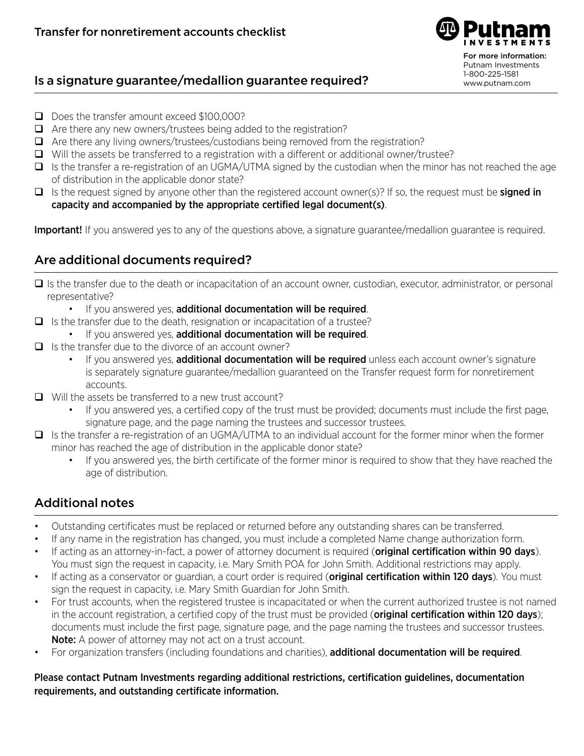

### Is a signature guarantee/medallion guarantee required?

- □ Does the transfer amount exceed \$100,000?
- $\Box$  Are there any new owners/trustees being added to the registration?
- $\Box$  Are there any living owners/trustees/custodians being removed from the registration?
- $\Box$  Will the assets be transferred to a registration with a different or additional owner/trustee?
- $\Box$  Is the transfer a re-registration of an UGMA/UTMA signed by the custodian when the minor has not reached the age of distribution in the applicable donor state?
- $\Box$  Is the request signed by anyone other than the registered account owner(s)? If so, the request must be **signed in** capacity and accompanied by the appropriate certified legal document(s).

Important! If you answered yes to any of the questions above, a signature guarantee/medallion guarantee is required.

### Are additional documents required?

- $\Box$  Is the transfer due to the death or incapacitation of an account owner, custodian, executor, administrator, or personal representative?
	- If you answered yes, additional documentation will be required.
- $\Box$  Is the transfer due to the death, resignation or incapacitation of a trustee?
	- If you answered yes, additional documentation will be required.
- $\Box$  Is the transfer due to the divorce of an account owner?
	- If you answered yes, **additional documentation will be required** unless each account owner's signature is separately signature guarantee/medallion guaranteed on the Transfer request form for nonretirement accounts.
- $\Box$  Will the assets be transferred to a new trust account?
	- If you answered yes, a certified copy of the trust must be provided; documents must include the first page, signature page, and the page naming the trustees and successor trustees.
- $\Box$  Is the transfer a re-registration of an UGMA/UTMA to an individual account for the former minor when the former minor has reached the age of distribution in the applicable donor state?
	- If you answered yes, the birth certificate of the former minor is required to show that they have reached the age of distribution.

# Additional notes

- Outstanding certificates must be replaced or returned before any outstanding shares can be transferred.
- If any name in the registration has changed, you must include a completed Name change authorization form.
- If acting as an attorney-in-fact, a power of attorney document is required (original certification within 90 days). You must sign the request in capacity, i.e. Mary Smith POA for John Smith. Additional restrictions may apply.
- If acting as a conservator or guardian, a court order is required (original certification within 120 days). You must sign the request in capacity, i.e. Mary Smith Guardian for John Smith.
- For trust accounts, when the registered trustee is incapacitated or when the current authorized trustee is not named in the account registration, a certified copy of the trust must be provided (**original certification within 120 days**); documents must include the first page, signature page, and the page naming the trustees and successor trustees. Note: A power of attorney may not act on a trust account.
- For organization transfers (including foundations and charities), additional documentation will be required.

Please contact Putnam Investments regarding additional restrictions, certification guidelines, documentation requirements, and outstanding certificate information.

For more information: Putnam Investments 1-800-225-1581 www.putnam.com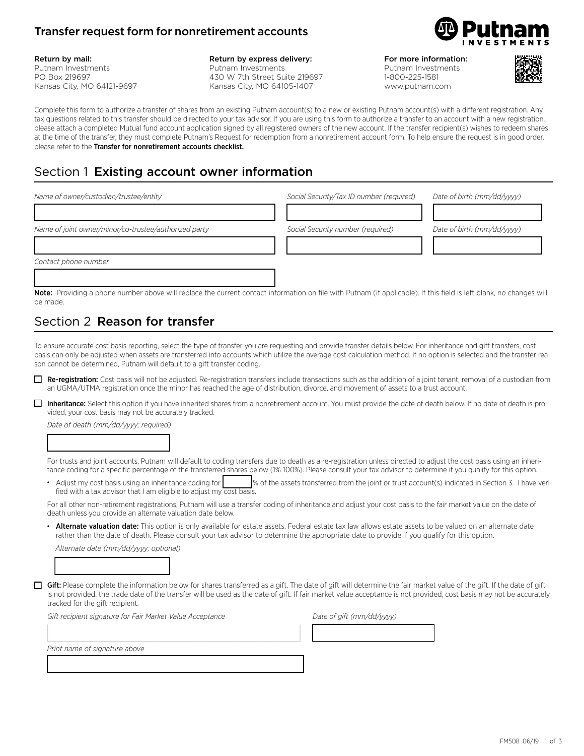#### Transfer request form for nonretirement accounts



#### Return by mail:

Putnam Investments PO Box 219697 Kansas City, MO 64121-9697

#### Return by express delivery: Putnam Investments 430 W 7th Street Suite 219697

Kansas City, MO 64105-1407

For more information:

Putnam Investments 1-800-225-1581 www.putnam.com



Complete this form to authorize a transfer of shares from an existing Putnam account(s) to a new or existing Putnam account(s) with a different registration. Any tax questions related to this transfer should be directed to your tax advisor. If you are using this form to authorize a transfer to an account with a new registration, please attach a completed Mutual fund account application signed by all registered owners of the new account. If the transfer recipient(s) wishes to redeem shares at the time of the transfer, they must complete Putnam's Request for redemption from a nonretirement account form. To help ensure the request is in good order, please refer to the Transfer for nonretirement accounts checklist.

# Section 1 Existing account owner information

| Name of owner/custodian/trustee/entity                                                                                                                                     | Social Security/Tax ID number (required) | Date of birth (mm/dd/vyyy) |
|----------------------------------------------------------------------------------------------------------------------------------------------------------------------------|------------------------------------------|----------------------------|
| Name of joint owner/minor/co-trustee/authorized party                                                                                                                      | Social Security number (required)        | Date of birth (mm/dd/vyyy) |
|                                                                                                                                                                            |                                          |                            |
| Contact phone number                                                                                                                                                       |                                          |                            |
| <b>Note:</b> Providing a phone number above will replace the current contact information on file with Putnam (if applicable). If this field is left blank, no changes will |                                          |                            |

be made.

# Section 2 **Reason for transfer**

To ensure accurate cost basis reporting, select the type of transfer you are requesting and provide transfer details below. For inheritance and gift transfers, cost basis can only be adjusted when assets are transferred into accounts which utilize the average cost calculation method. If no option is selected and the transfer reason cannot be determined, Putnam will default to a gift transfer coding.

- Re-registration: Cost basis will not be adjusted. Re-registration transfers include transactions such as the addition of a joint tenant, removal of a custodian from an UGMA/UTMA registration once the minor has reached the age of distribution, divorce, and movement of assets to a trust account.
- □ Inheritance: Select this option if you have inherited shares from a nonretirement account. You must provide the date of death below. If no date of death is provided, your cost basis may not be accurately tracked.

*Date of death (mm/dd/yyyy; required)*

1333333334

For trusts and joint accounts, Putnam will default to coding transfers due to death as a re-registration unless directed to adjust the cost basis using an inheritance coding for a specific percentage of the transferred shares below (1%-100%). Please consult your tax advisor to determine if you qualify for this option.

Adjust my cost basis using an inheritance coding for | 83334 % of the assets transferred from the joint or trust account(s) indicated in Section 3. I have verified with a tax advisor that I am eligible to adjust my cost basis.

For all other non-retirement registrations, Putnam will use a transfer coding of inheritance and adjust your cost basis to the fair market value on the date of death unless you provide an alternate valuation date below.

Alternate valuation date: This option is only available for estate assets. Federal estate tax law allows estate assets to be valued on an alternate date rather than the date of death. Please consult your tax advisor to determine the appropriate date to provide if you qualify for this option.

*Alternate date (mm/dd/yyyy; optional)*

133333334

Gift: Please complete the information below for shares transferred as a gift. The date of gift will determine the fair market value of the gift. If the date of gift is not provided, the trade date of the transfer will be used as the date of gift. If fair market value acceptance is not provided, cost basis may not be accurately tracked for the gift recipient.

*Gift recipient signature for Fair Market Value Acceptance* 

13333333333333333334

13333333333333333334 1333333334 *Print name of signature above*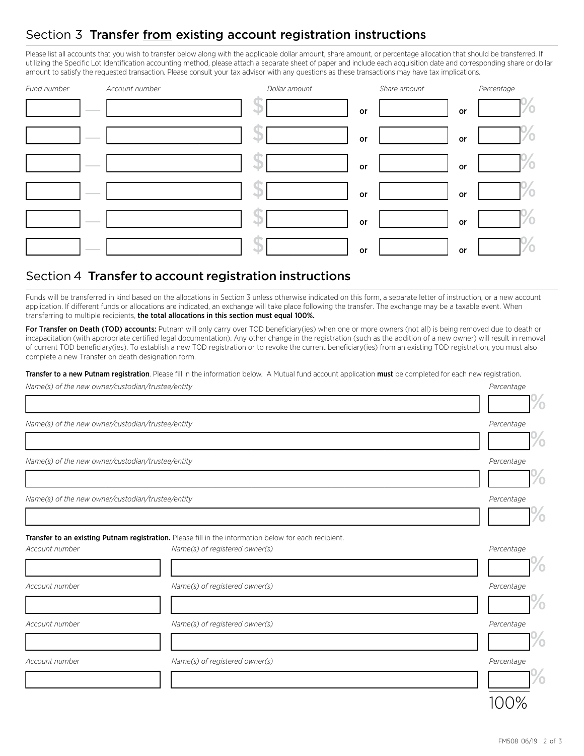### Section 3 Transfer from existing account registration instructions

Please list all accounts that you wish to transfer below along with the applicable dollar amount, share amount, or percentage allocation that should be transferred. If utilizing the Specific Lot Identification accounting method, please attach a separate sheet of paper and include each acquisition date and corresponding share or dollar amount to satisfy the requested transaction. Please consult your tax advisor with any questions as these transactions may have tax implications.

| Fund number                       | Account number | Dollar amount | Share amount | Percentage |
|-----------------------------------|----------------|---------------|--------------|------------|
| <b>Contract Contract</b>          | 4J.            | or            | or           | 70         |
| <b>Contract Contract</b>          |                | or            | or           | 70         |
| <b>Contract Contract Contract</b> |                | or            | or           | 70         |
| <b>Contract Contract</b>          | a.             | or            | or           | $\%$       |
| <b>Contract Contract</b>          | لللم           | or            | or           | $\sim$     |
| $\frac{1}{2}$                     | است            | or            | or           | %          |

#### Section 4 Transfer to account registration instructions

Funds will be transferred in kind based on the allocations in Section 3 unless otherwise indicated on this form, a separate letter of instruction, or a new account application. If different funds or allocations are indicated, an exchange will take place following the transfer. The exchange may be a taxable event. When transferring to multiple recipients, the total allocations in this section must equal 100%.

For Transfer on Death (TOD) accounts: Putnam will only carry over TOD beneficiary(ies) when one or more owners (not all) is being removed due to death or incapacitation (with appropriate certified legal documentation). Any other change in the registration (such as the addition of a new owner) will result in removal of current TOD beneficiary(ies). To establish a new TOD registration or to revoke the current beneficiary(ies) from an existing TOD registration, you must also complete a new Transfer on death designation form.

Transfer to a new Putnam registration. Please fill in the information below. A Mutual fund account application must be completed for each new registration.

| Name(s) of the new owner/custodian/trustee/entity | Percentage                                                                                                                              |               |
|---------------------------------------------------|-----------------------------------------------------------------------------------------------------------------------------------------|---------------|
|                                                   |                                                                                                                                         | Ó             |
| Name(s) of the new owner/custodian/trustee/entity |                                                                                                                                         | Percentage    |
|                                                   |                                                                                                                                         | $^{\prime}$ o |
| Name(s) of the new owner/custodian/trustee/entity |                                                                                                                                         | Percentage    |
|                                                   |                                                                                                                                         | O             |
| Name(s) of the new owner/custodian/trustee/entity |                                                                                                                                         | Percentage    |
|                                                   |                                                                                                                                         |               |
| Account number                                    | Transfer to an existing Putnam registration. Please fill in the information below for each recipient.<br>Name(s) of registered owner(s) | Percentage    |
|                                                   |                                                                                                                                         | $\sigma$      |
| Account number                                    | Name(s) of registered owner(s)                                                                                                          | Percentage    |
|                                                   |                                                                                                                                         |               |
| Account number                                    | Name(s) of registered owner(s)                                                                                                          | Percentage    |
|                                                   |                                                                                                                                         | Ó             |
| Account number                                    | Name(s) of registered owner(s)                                                                                                          | Percentage    |
|                                                   |                                                                                                                                         | /o            |
|                                                   |                                                                                                                                         |               |